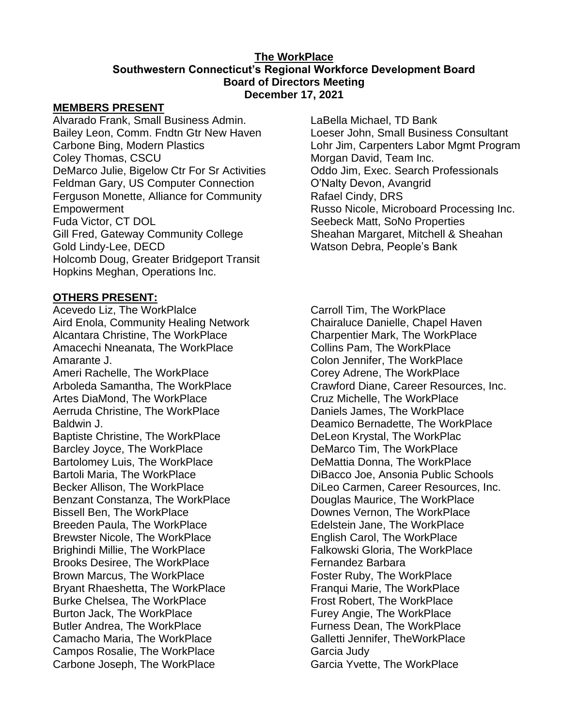#### **The WorkPlace Southwestern Connecticut's Regional Workforce Development Board Board of Directors Meeting December 17, 2021**

#### **MEMBERS PRESENT**

Alvarado Frank, Small Business Admin. Bailey Leon, Comm. Fndtn Gtr New Haven Carbone Bing, Modern Plastics Coley Thomas, CSCU DeMarco Julie, Bigelow Ctr For Sr Activities Feldman Gary, US Computer Connection Ferguson Monette, Alliance for Community Empowerment Fuda Victor, CT DOL Gill Fred, Gateway Community College Gold Lindy-Lee, DECD Holcomb Doug, Greater Bridgeport Transit Hopkins Meghan, Operations Inc.

### **OTHERS PRESENT:**

Acevedo Liz, The WorkPlalce Aird Enola, Community Healing Network Alcantara Christine, The WorkPlace Amacechi Nneanata, The WorkPlace Amarante J. Ameri Rachelle, The WorkPlace Arboleda Samantha, The WorkPlace Artes DiaMond, The WorkPlace Aerruda Christine, The WorkPlace Baldwin J. Baptiste Christine, The WorkPlace Barcley Joyce, The WorkPlace Bartolomey Luis, The WorkPlace Bartoli Maria, The WorkPlace Becker Allison, The WorkPlace Benzant Constanza, The WorkPlace Bissell Ben, The WorkPlace Breeden Paula, The WorkPlace Brewster Nicole, The WorkPlace Brighindi Millie, The WorkPlace Brooks Desiree, The WorkPlace Brown Marcus, The WorkPlace Bryant Rhaeshetta, The WorkPlace Burke Chelsea, The WorkPlace Burton Jack, The WorkPlace Butler Andrea, The WorkPlace Camacho Maria, The WorkPlace Campos Rosalie, The WorkPlace Carbone Joseph, The WorkPlace

LaBella Michael, TD Bank Loeser John, Small Business Consultant Lohr Jim, Carpenters Labor Mgmt Program Morgan David, Team Inc. Oddo Jim, Exec. Search Professionals O'Nalty Devon, Avangrid Rafael Cindy, DRS Russo Nicole, Microboard Processing Inc. Seebeck Matt, SoNo Properties Sheahan Margaret, Mitchell & Sheahan Watson Debra, People's Bank

Carroll Tim, The WorkPlace Chairaluce Danielle, Chapel Haven Charpentier Mark, The WorkPlace Collins Pam, The WorkPlace Colon Jennifer, The WorkPlace Corey Adrene, The WorkPlace Crawford Diane, Career Resources, Inc. Cruz Michelle, The WorkPlace Daniels James, The WorkPlace Deamico Bernadette, The WorkPlace DeLeon Krystal, The WorkPlac DeMarco Tim, The WorkPlace DeMattia Donna, The WorkPlace DiBacco Joe, Ansonia Public Schools DiLeo Carmen, Career Resources, Inc. Douglas Maurice, The WorkPlace Downes Vernon, The WorkPlace Edelstein Jane, The WorkPlace English Carol, The WorkPlace Falkowski Gloria, The WorkPlace Fernandez Barbara Foster Ruby, The WorkPlace Franqui Marie, The WorkPlace Frost Robert, The WorkPlace Furey Angie, The WorkPlace Furness Dean, The WorkPlace Galletti Jennifer, TheWorkPlace Garcia Judy Garcia Yvette, The WorkPlace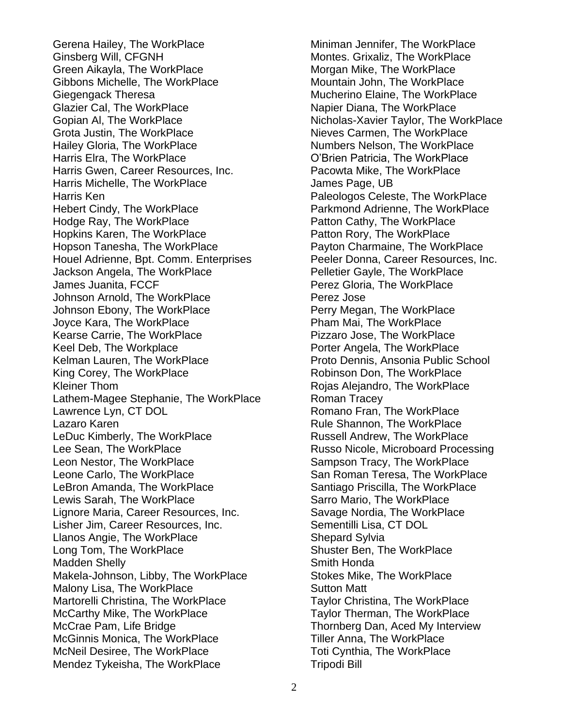Gerena Hailey, The WorkPlace Ginsberg Will, CFGNH Green Aikayla, The WorkPlace Gibbons Michelle, The WorkPlace Giegengack Theresa Glazier Cal, The WorkPlace Gopian Al, The WorkPlace Grota Justin, The WorkPlace Hailey Gloria, The WorkPlace Harris Elra, The WorkPlace Harris Gwen, Career Resources, Inc. Harris Michelle, The WorkPlace Harris Ken Hebert Cindy, The WorkPlace Hodge Ray, The WorkPlace Hopkins Karen, The WorkPlace Hopson Tanesha, The WorkPlace Houel Adrienne, Bpt. Comm. Enterprises Jackson Angela, The WorkPlace James Juanita, FCCF Johnson Arnold, The WorkPlace Johnson Ebony, The WorkPlace Joyce Kara, The WorkPlace Kearse Carrie, The WorkPlace Keel Deb, The Workplace Kelman Lauren, The WorkPlace King Corey, The WorkPlace Kleiner Thom Lathem-Magee Stephanie, The WorkPlace Lawrence Lyn, CT DOL Lazaro Karen LeDuc Kimberly, The WorkPlace Lee Sean, The WorkPlace Leon Nestor, The WorkPlace Leone Carlo, The WorkPlace LeBron Amanda, The WorkPlace Lewis Sarah, The WorkPlace Lignore Maria, Career Resources, Inc. Lisher Jim, Career Resources, Inc. Llanos Angie, The WorkPlace Long Tom, The WorkPlace Madden Shelly Makela-Johnson, Libby, The WorkPlace Malony Lisa, The WorkPlace Martorelli Christina, The WorkPlace McCarthy Mike, The WorkPlace McCrae Pam, Life Bridge McGinnis Monica, The WorkPlace McNeil Desiree, The WorkPlace Mendez Tykeisha, The WorkPlace

Miniman Jennifer, The WorkPlace Montes. Grixaliz, The WorkPlace Morgan Mike, The WorkPlace Mountain John, The WorkPlace Mucherino Elaine, The WorkPlace Napier Diana, The WorkPlace Nicholas-Xavier Taylor, The WorkPlace Nieves Carmen, The WorkPlace Numbers Nelson, The WorkPlace O'Brien Patricia, The WorkPlace Pacowta Mike, The WorkPlace James Page, UB Paleologos Celeste, The WorkPlace Parkmond Adrienne, The WorkPlace Patton Cathy, The WorkPlace Patton Rory, The WorkPlace Payton Charmaine, The WorkPlace Peeler Donna, Career Resources, Inc. Pelletier Gayle, The WorkPlace Perez Gloria, The WorkPlace Perez Jose Perry Megan, The WorkPlace Pham Mai, The WorkPlace Pizzaro Jose, The WorkPlace Porter Angela, The WorkPlace Proto Dennis, Ansonia Public School Robinson Don, The WorkPlace Rojas Alejandro, The WorkPlace Roman Tracey Romano Fran, The WorkPlace Rule Shannon, The WorkPlace Russell Andrew, The WorkPlace Russo Nicole, Microboard Processing Sampson Tracy, The WorkPlace San Roman Teresa, The WorkPlace Santiago Priscilla, The WorkPlace Sarro Mario, The WorkPlace Savage Nordia, The WorkPlace Sementilli Lisa, CT DOL Shepard Sylvia Shuster Ben, The WorkPlace Smith Honda Stokes Mike, The WorkPlace Sutton Matt Taylor Christina, The WorkPlace Taylor Therman, The WorkPlace Thornberg Dan, Aced My Interview Tiller Anna, The WorkPlace Toti Cynthia, The WorkPlace Tripodi Bill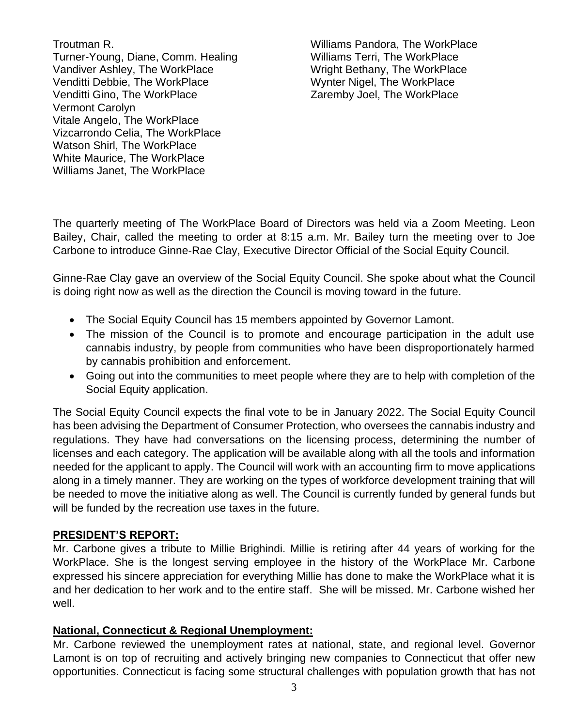Troutman R. Turner-Young, Diane, Comm. Healing Vandiver Ashley, The WorkPlace Venditti Debbie, The WorkPlace Venditti Gino, The WorkPlace Vermont Carolyn Vitale Angelo, The WorkPlace Vizcarrondo Celia, The WorkPlace Watson Shirl, The WorkPlace White Maurice, The WorkPlace Williams Janet, The WorkPlace

Williams Pandora, The WorkPlace Williams Terri, The WorkPlace Wright Bethany, The WorkPlace Wynter Nigel, The WorkPlace Zaremby Joel, The WorkPlace

The quarterly meeting of The WorkPlace Board of Directors was held via a Zoom Meeting. Leon Bailey, Chair, called the meeting to order at 8:15 a.m. Mr. Bailey turn the meeting over to Joe Carbone to introduce Ginne-Rae Clay, Executive Director Official of the Social Equity Council.

Ginne-Rae Clay gave an overview of the Social Equity Council. She spoke about what the Council is doing right now as well as the direction the Council is moving toward in the future.

- The Social Equity Council has 15 members appointed by Governor Lamont.
- The mission of the Council is to promote and encourage participation in the adult use cannabis industry, by people from communities who have been disproportionately harmed by cannabis prohibition and enforcement.
- Going out into the communities to meet people where they are to help with completion of the Social Equity application.

The Social Equity Council expects the final vote to be in January 2022. The Social Equity Council has been advising the Department of Consumer Protection, who oversees the cannabis industry and regulations. They have had conversations on the licensing process, determining the number of licenses and each category. The application will be available along with all the tools and information needed for the applicant to apply. The Council will work with an accounting firm to move applications along in a timely manner. They are working on the types of workforce development training that will be needed to move the initiative along as well. The Council is currently funded by general funds but will be funded by the recreation use taxes in the future.

### **PRESIDENT'S REPORT:**

Mr. Carbone gives a tribute to Millie Brighindi. Millie is retiring after 44 years of working for the WorkPlace. She is the longest serving employee in the history of the WorkPlace Mr. Carbone expressed his sincere appreciation for everything Millie has done to make the WorkPlace what it is and her dedication to her work and to the entire staff. She will be missed. Mr. Carbone wished her well.

### **National, Connecticut & Regional Unemployment:**

Mr. Carbone reviewed the unemployment rates at national, state, and regional level. Governor Lamont is on top of recruiting and actively bringing new companies to Connecticut that offer new opportunities. Connecticut is facing some structural challenges with population growth that has not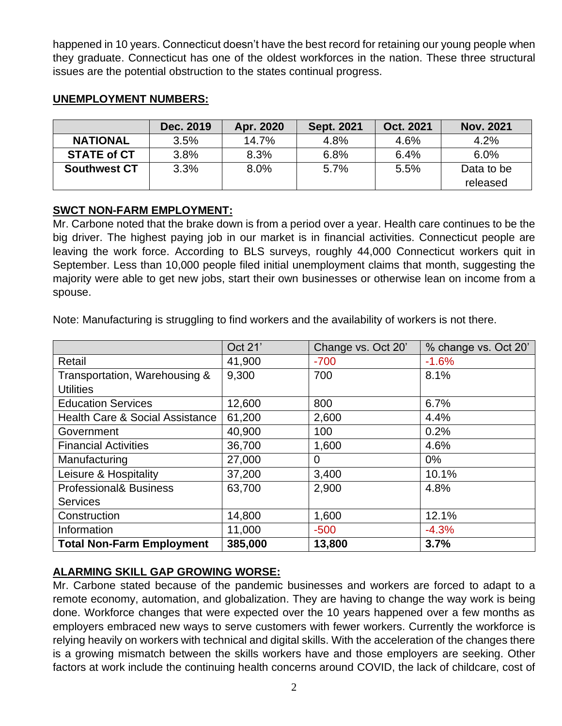happened in 10 years. Connecticut doesn't have the best record for retaining our young people when they graduate. Connecticut has one of the oldest workforces in the nation. These three structural issues are the potential obstruction to the states continual progress.

|                     | Dec. 2019 | Apr. 2020 | <b>Sept. 2021</b> | Oct. 2021 | <b>Nov. 2021</b> |
|---------------------|-----------|-----------|-------------------|-----------|------------------|
| <b>NATIONAL</b>     | 3.5%      | 14.7%     | 4.8%              | 4.6%      | 4.2%             |
| <b>STATE of CT</b>  | 3.8%      | 8.3%      | 6.8%              | 6.4%      | 6.0%             |
| <b>Southwest CT</b> | 3.3%      | 8.0%      | 5.7%              | 5.5%      | Data to be       |
|                     |           |           |                   |           | released         |

### **UNEMPLOYMENT NUMBERS:**

## **SWCT NON-FARM EMPLOYMENT:**

Mr. Carbone noted that the brake down is from a period over a year. Health care continues to be the big driver. The highest paying job in our market is in financial activities. Connecticut people are leaving the work force. According to BLS surveys, roughly 44,000 Connecticut workers quit in September. Less than 10,000 people filed initial unemployment claims that month, suggesting the majority were able to get new jobs, start their own businesses or otherwise lean on income from a spouse.

Note: Manufacturing is struggling to find workers and the availability of workers is not there.

|                                            | Oct 21' | Change vs. Oct 20' | % change vs. Oct 20' |
|--------------------------------------------|---------|--------------------|----------------------|
| Retail                                     | 41,900  | $-700$             | $-1.6%$              |
| Transportation, Warehousing &              | 9,300   | 700                | 8.1%                 |
| <b>Utilities</b>                           |         |                    |                      |
| <b>Education Services</b>                  | 12,600  | 800                | 6.7%                 |
| <b>Health Care &amp; Social Assistance</b> | 61,200  | 2,600              | 4.4%                 |
| Government                                 | 40,900  | 100                | 0.2%                 |
| <b>Financial Activities</b>                | 36,700  | 1,600              | 4.6%                 |
| Manufacturing                              | 27,000  | $\Omega$           | $0\%$                |
| Leisure & Hospitality                      | 37,200  | 3,400              | 10.1%                |
| <b>Professional&amp; Business</b>          | 63,700  | 2,900              | 4.8%                 |
| <b>Services</b>                            |         |                    |                      |
| Construction                               | 14,800  | 1,600              | 12.1%                |
| Information                                | 11,000  | $-500$             | $-4.3%$              |
| <b>Total Non-Farm Employment</b>           | 385,000 | 13,800             | 3.7%                 |

# **ALARMING SKILL GAP GROWING WORSE:**

Mr. Carbone stated because of the pandemic businesses and workers are forced to adapt to a remote economy, automation, and globalization. They are having to change the way work is being done. Workforce changes that were expected over the 10 years happened over a few months as employers embraced new ways to serve customers with fewer workers. Currently the workforce is relying heavily on workers with technical and digital skills. With the acceleration of the changes there is a growing mismatch between the skills workers have and those employers are seeking. Other factors at work include the continuing health concerns around COVID, the lack of childcare, cost of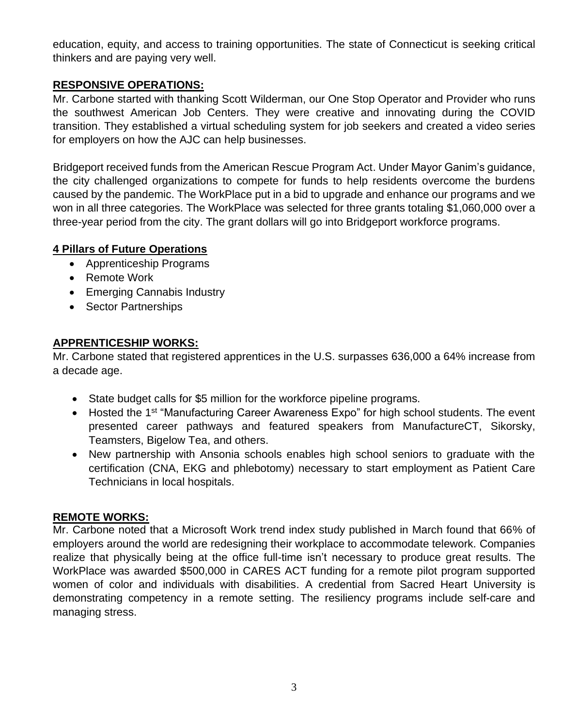education, equity, and access to training opportunities. The state of Connecticut is seeking critical thinkers and are paying very well.

# **RESPONSIVE OPERATIONS:**

Mr. Carbone started with thanking Scott Wilderman, our One Stop Operator and Provider who runs the southwest American Job Centers. They were creative and innovating during the COVID transition. They established a virtual scheduling system for job seekers and created a video series for employers on how the AJC can help businesses.

Bridgeport received funds from the American Rescue Program Act. Under Mayor Ganim's guidance, the city challenged organizations to compete for funds to help residents overcome the burdens caused by the pandemic. The WorkPlace put in a bid to upgrade and enhance our programs and we won in all three categories. The WorkPlace was selected for three grants totaling \$1,060,000 over a three-year period from the city. The grant dollars will go into Bridgeport workforce programs.

## **4 Pillars of Future Operations**

- Apprenticeship Programs
- Remote Work
- Emerging Cannabis Industry
- Sector Partnerships

## **APPRENTICESHIP WORKS:**

Mr. Carbone stated that registered apprentices in the U.S. surpasses 636,000 a 64% increase from a decade age.

- State budget calls for \$5 million for the workforce pipeline programs.
- Hosted the 1<sup>st</sup> "Manufacturing Career Awareness Expo" for high school students. The event presented career pathways and featured speakers from ManufactureCT, Sikorsky, Teamsters, Bigelow Tea, and others.
- New partnership with Ansonia schools enables high school seniors to graduate with the certification (CNA, EKG and phlebotomy) necessary to start employment as Patient Care Technicians in local hospitals.

### **REMOTE WORKS:**

Mr. Carbone noted that a Microsoft Work trend index study published in March found that 66% of employers around the world are redesigning their workplace to accommodate telework. Companies realize that physically being at the office full-time isn't necessary to produce great results. The WorkPlace was awarded \$500,000 in CARES ACT funding for a remote pilot program supported women of color and individuals with disabilities. A credential from Sacred Heart University is demonstrating competency in a remote setting. The resiliency programs include self-care and managing stress.